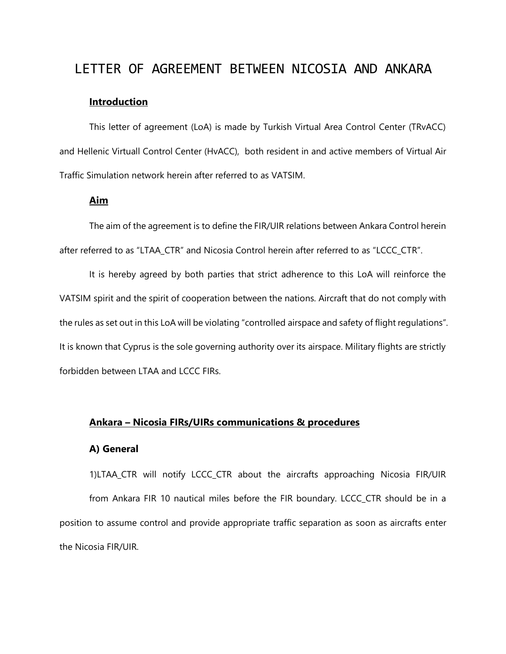# LETTER OF AGREEMENT BETWEEN NICOSIA AND ANKARA

#### **Introduction**

This letter of agreement (LoA) is made by Turkish Virtual Area Control Center (TRvACC) and Hellenic Virtuall Control Center (HvACC), both resident in and active members of Virtual Air Traffic Simulation network herein after referred to as VATSIM.

#### **Aim**

The aim of the agreement is to define the FIR/UIR relations between Ankara Control herein after referred to as "LTAA\_CTR" and Nicosia Control herein after referred to as "LCCC\_CTR".

It is hereby agreed by both parties that strict adherence to this LoA will reinforce the VATSIM spirit and the spirit of cooperation between the nations. Aircraft that do not comply with the rules as set out in this LoA will be violating "controlled airspace and safety of flight regulations". It is known that Cyprus is the sole governing authority over its airspace. Military flights are strictly forbidden between LTAA and LCCC FIRs.

#### **Ankara – Nicosia FIRs/UIRs communications & procedures**

#### **A) General**

1)LTAA\_CTR will notify LCCC\_CTR about the aircrafts approaching Nicosia FIR/UIR from Ankara FIR 10 nautical miles before the FIR boundary. LCCC\_CTR should be in a position to assume control and provide appropriate traffic separation as soon as aircrafts enter the Nicosia FIR/UIR.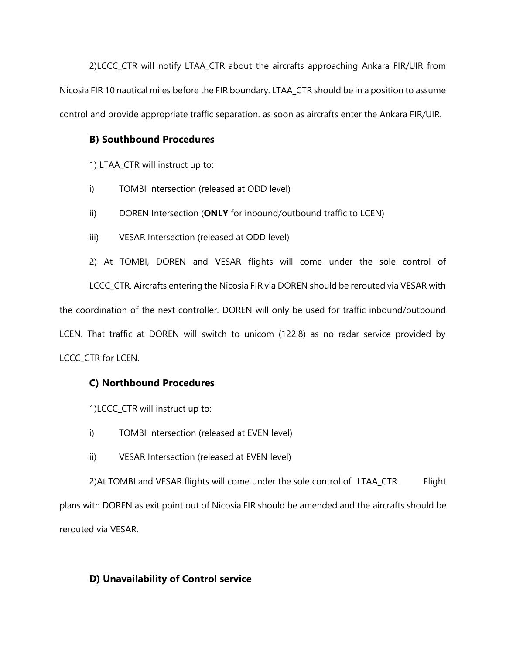2)LCCC\_CTR will notify LTAA\_CTR about the aircrafts approaching Ankara FIR/UIR from Nicosia FIR 10 nautical miles before the FIR boundary. LTAA\_CTR should be in a position to assume control and provide appropriate traffic separation. as soon as aircrafts enter the Ankara FIR/UIR.

#### **B) Southbound Procedures**

1) LTAA\_CTR will instruct up to:

- i) TOMBI Intersection (released at ODD level)
- ii) DOREN Intersection (**ONLY** for inbound/outbound traffic to LCEN)
- iii) VESAR Intersection (released at ODD level)

2) At TOMBI, DOREN and VESAR flights will come under the sole control of LCCC\_CTR. Aircrafts entering the Nicosia FIR via DOREN should be rerouted via VESAR with the coordination of the next controller. DOREN will only be used for traffic inbound/outbound LCEN. That traffic at DOREN will switch to unicom (122.8) as no radar service provided by LCCC\_CTR for LCEN.

# **C) Northbound Procedures**

- 1)LCCC\_CTR will instruct up to:
- i) TOMBI Intersection (released at EVEN level)
- ii) VESAR Intersection (released at EVEN level)

2)At TOMBI and VESAR flights will come under the sole control of LTAA\_CTR. Flight plans with DOREN as exit point out of Nicosia FIR should be amended and the aircrafts should be rerouted via VESAR.

## **D) Unavailability of Control service**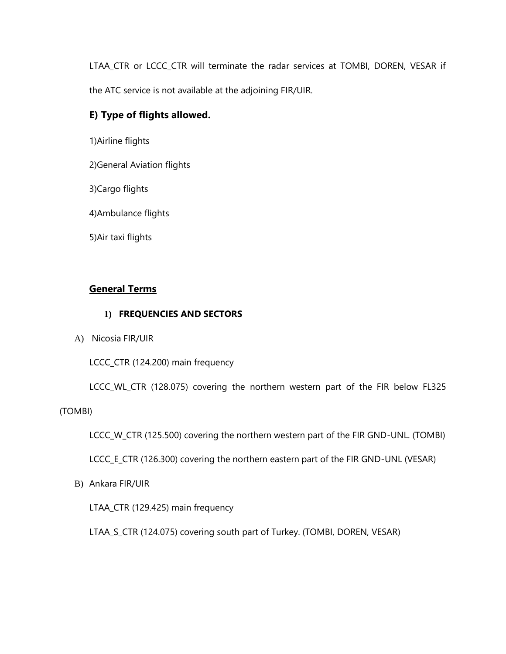LTAA\_CTR or LCCC\_CTR will terminate the radar services at TOMBI, DOREN, VESAR if the ATC service is not available at the adjoining FIR/UIR.

## **E) Type of flights allowed.**

1)Airline flights

2)General Aviation flights

3)Cargo flights

4)Ambulance flights

5)Air taxi flights

## **General Terms**

#### **1) FREQUENCIES AND SECTORS**

A) Nicosia FIR/UIR

LCCC\_CTR (124.200) main frequency

LCCC\_WL\_CTR (128.075) covering the northern western part of the FIR below FL325

(TOMBI)

LCCC\_W\_CTR (125.500) covering the northern western part of the FIR GND-UNL. (TOMBI)

LCCC\_E\_CTR (126.300) covering the northern eastern part of the FIR GND-UNL (VESAR)

B) Ankara FIR/UIR

LTAA\_CTR (129.425) main frequency

LTAA\_S\_CTR (124.075) covering south part of Turkey. (TOMBI, DOREN, VESAR)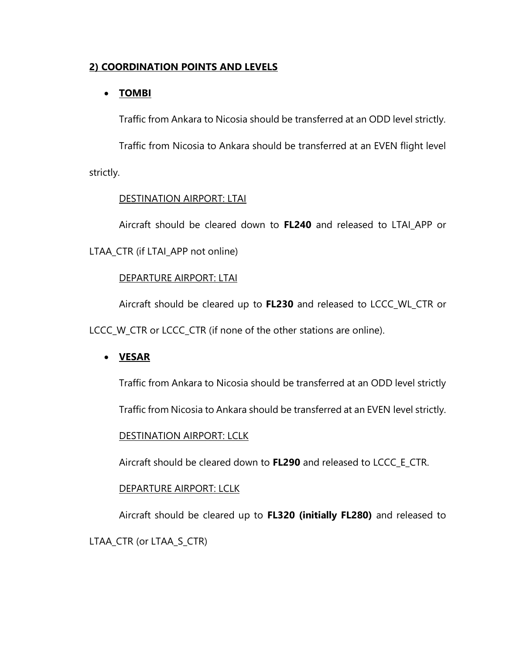## **2) COORDINATION POINTS AND LEVELS**

## • **TOMBI**

Traffic from Ankara to Nicosia should be transferred at an ODD level strictly.

Traffic from Nicosia to Ankara should be transferred at an EVEN flight level strictly.

## DESTINATION AIRPORT: LTAI

Aircraft should be cleared down to **FL240** and released to LTAI\_APP or LTAA\_CTR (if LTAI\_APP not online)

## DEPARTURE AIRPORT: LTAI

Aircraft should be cleared up to **FL230** and released to LCCC\_WL\_CTR or

LCCC\_W\_CTR or LCCC\_CTR (if none of the other stations are online).

## • **VESAR**

Traffic from Ankara to Nicosia should be transferred at an ODD level strictly

Traffic from Nicosia to Ankara should be transferred at an EVEN level strictly.

## DESTINATION AIRPORT: LCLK

Aircraft should be cleared down to **FL290** and released to LCCC\_E\_CTR.

## DEPARTURE AIRPORT: LCLK

Aircraft should be cleared up to **FL320 (initially FL280)** and released to

LTAA\_CTR (or LTAA\_S\_CTR)